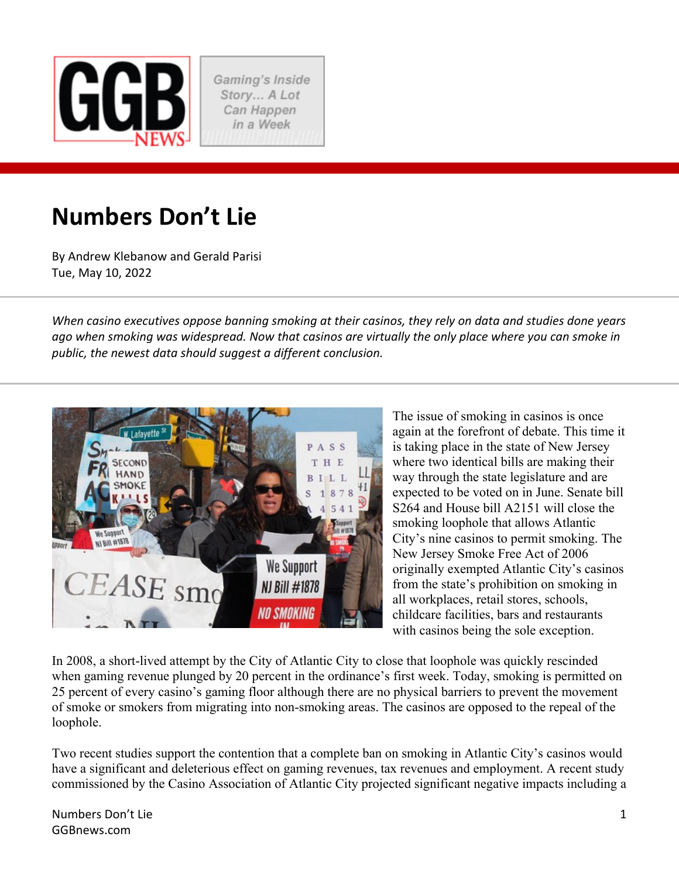

Gaming's Inside Story... A Lot Can Happen in a Week

# **Numbers Don't Lie**

By Andrew Klebanow and Gerald Parisi Tue, May 10, 2022

*When casino executives oppose banning smoking at their casinos, they rely on data and studies done years ago when smoking was widespread. Now that casinos are virtually the only place where you can smoke in public, the newest data should suggest a different conclusion.* 



The issue of smoking in casinos is once again at the forefront of debate. This time it is taking place in the state of New Jersey where two identical bills are making their way through the state legislature and are expected to be voted on in June. Senate bill S264 and House bill A2151 will close the smoking loophole that allows Atlantic City's nine casinos to permit smoking. The New Jersey Smoke Free Act of 2006 originally exempted Atlantic City's casinos from the state's prohibition on smoking in all workplaces, retail stores, schools, childcare facilities, bars and restaurants with casinos being the sole exception.

In 2008, a short-lived attempt by the City of Atlantic City to close that loophole was quickly rescinded when gaming revenue plunged by 20 percent in the ordinance's first week. Today, smoking is permitted on 25 percent of every casino's gaming floor although there are no physical barriers to prevent the movement of smoke or smokers from migrating into non-smoking areas. The casinos are opposed to the repeal of the loophole.

Two recent studies support the contention that a complete ban on smoking in Atlantic City's casinos would have a significant and deleterious effect on gaming revenues, tax revenues and employment. A recent study commissioned by the Casino Association of Atlantic City projected significant negative impacts including a

Numbers Don't Lie GGBnews.com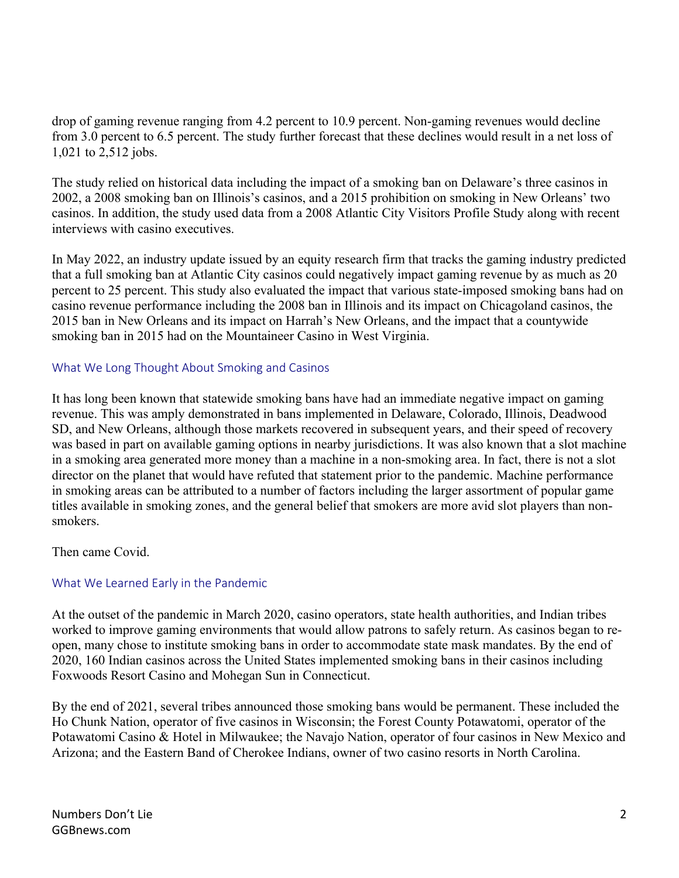drop of gaming revenue ranging from 4.2 percent to 10.9 percent. Non-gaming revenues would decline from 3.0 percent to 6.5 percent. The study further forecast that these declines would result in a net loss of 1,021 to 2,512 jobs.

The study relied on historical data including the impact of a smoking ban on Delaware's three casinos in 2002, a 2008 smoking ban on Illinois's casinos, and a 2015 prohibition on smoking in New Orleans' two casinos. In addition, the study used data from a 2008 Atlantic City Visitors Profile Study along with recent interviews with casino executives.

In May 2022, an industry update issued by an equity research firm that tracks the gaming industry predicted that a full smoking ban at Atlantic City casinos could negatively impact gaming revenue by as much as 20 percent to 25 percent. This study also evaluated the impact that various state-imposed smoking bans had on casino revenue performance including the 2008 ban in Illinois and its impact on Chicagoland casinos, the 2015 ban in New Orleans and its impact on Harrah's New Orleans, and the impact that a countywide smoking ban in 2015 had on the Mountaineer Casino in West Virginia.

## What We Long Thought About Smoking and Casinos

It has long been known that statewide smoking bans have had an immediate negative impact on gaming revenue. This was amply demonstrated in bans implemented in Delaware, Colorado, Illinois, Deadwood SD, and New Orleans, although those markets recovered in subsequent years, and their speed of recovery was based in part on available gaming options in nearby jurisdictions. It was also known that a slot machine in a smoking area generated more money than a machine in a non-smoking area. In fact, there is not a slot director on the planet that would have refuted that statement prior to the pandemic. Machine performance in smoking areas can be attributed to a number of factors including the larger assortment of popular game titles available in smoking zones, and the general belief that smokers are more avid slot players than nonsmokers.

Then came Covid.

# What We Learned Early in the Pandemic

At the outset of the pandemic in March 2020, casino operators, state health authorities, and Indian tribes worked to improve gaming environments that would allow patrons to safely return. As casinos began to reopen, many chose to institute smoking bans in order to accommodate state mask mandates. By the end of 2020, 160 Indian casinos across the United States implemented smoking bans in their casinos including Foxwoods Resort Casino and Mohegan Sun in Connecticut.

By the end of 2021, several tribes announced those smoking bans would be permanent. These included the Ho Chunk Nation, operator of five casinos in Wisconsin; the Forest County Potawatomi, operator of the Potawatomi Casino & Hotel in Milwaukee; the Navajo Nation, operator of four casinos in New Mexico and Arizona; and the Eastern Band of Cherokee Indians, owner of two casino resorts in North Carolina.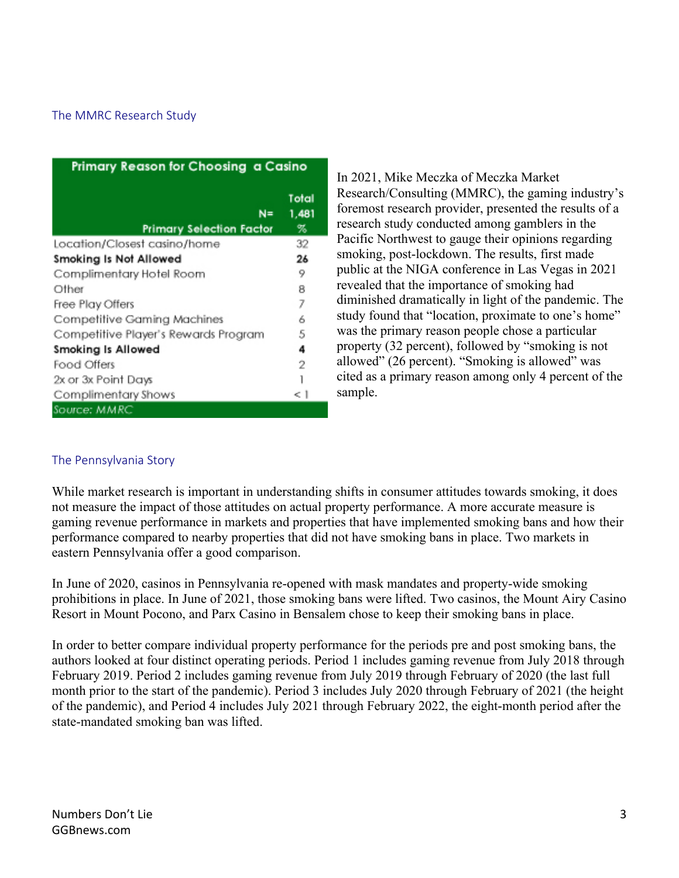## The MMRC Research Study

| Primary Reason for Choosing a Casino     |                     |  |  |  |  |  |  |  |  |
|------------------------------------------|---------------------|--|--|--|--|--|--|--|--|
| $N =$<br><b>Primary Selection Factor</b> | Total<br>1,481<br>% |  |  |  |  |  |  |  |  |
| Location/Closest casino/home             | 32                  |  |  |  |  |  |  |  |  |
| Smoking Is Not Allowed                   | 26                  |  |  |  |  |  |  |  |  |
| Complimentary Hotel Room                 | 9                   |  |  |  |  |  |  |  |  |
| Other                                    | 8                   |  |  |  |  |  |  |  |  |
| Free Play Offers                         | 7                   |  |  |  |  |  |  |  |  |
| Competitive Gaming Machines              | 6                   |  |  |  |  |  |  |  |  |
| Competitive Player's Rewards Program     | 5                   |  |  |  |  |  |  |  |  |
| <b>Smoking Is Allowed</b>                | 4                   |  |  |  |  |  |  |  |  |
| Food Offers                              | 2                   |  |  |  |  |  |  |  |  |
| 2x or 3x Point Days                      |                     |  |  |  |  |  |  |  |  |
| Complimentary Shows                      | < 1                 |  |  |  |  |  |  |  |  |
| Source: MMRC                             |                     |  |  |  |  |  |  |  |  |

In 2021, Mike Meczka of Meczka Market Research/Consulting (MMRC), the gaming industry's foremost research provider, presented the results of a research study conducted among gamblers in the Pacific Northwest to gauge their opinions regarding smoking, post-lockdown. The results, first made public at the NIGA conference in Las Vegas in 2021 revealed that the importance of smoking had diminished dramatically in light of the pandemic. The study found that "location, proximate to one's home" was the primary reason people chose a particular property (32 percent), followed by "smoking is not allowed" (26 percent). "Smoking is allowed" was cited as a primary reason among only 4 percent of the sample.

#### The Pennsylvania Story

While market research is important in understanding shifts in consumer attitudes towards smoking, it does not measure the impact of those attitudes on actual property performance. A more accurate measure is gaming revenue performance in markets and properties that have implemented smoking bans and how their performance compared to nearby properties that did not have smoking bans in place. Two markets in eastern Pennsylvania offer a good comparison.

In June of 2020, casinos in Pennsylvania re-opened with mask mandates and property-wide smoking prohibitions in place. In June of 2021, those smoking bans were lifted. Two casinos, the Mount Airy Casino Resort in Mount Pocono, and Parx Casino in Bensalem chose to keep their smoking bans in place.

In order to better compare individual property performance for the periods pre and post smoking bans, the authors looked at four distinct operating periods. Period 1 includes gaming revenue from July 2018 through February 2019. Period 2 includes gaming revenue from July 2019 through February of 2020 (the last full month prior to the start of the pandemic). Period 3 includes July 2020 through February of 2021 (the height of the pandemic), and Period 4 includes July 2021 through February 2022, the eight-month period after the state-mandated smoking ban was lifted.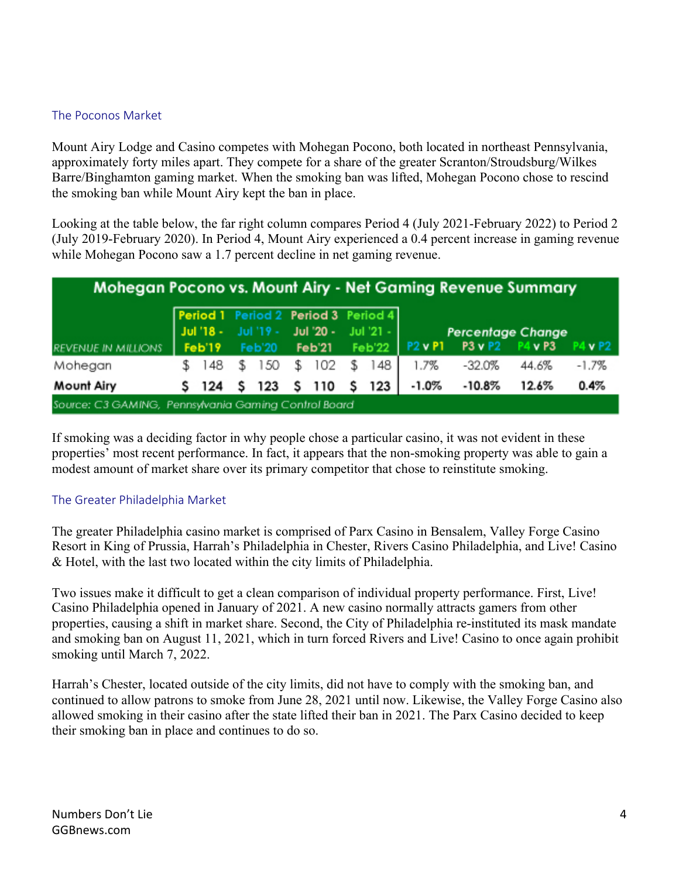# The Poconos Market

Mount Airy Lodge and Casino competes with Mohegan Pocono, both located in northeast Pennsylvania, approximately forty miles apart. They compete for a share of the greater Scranton/Stroudsburg/Wilkes Barre/Binghamton gaming market. When the smoking ban was lifted, Mohegan Pocono chose to rescind the smoking ban while Mount Airy kept the ban in place.

Looking at the table below, the far right column compares Period 4 (July 2021-February 2022) to Period 2 (July 2019-February 2020). In Period 4, Mount Airy experienced a 0.4 percent increase in gaming revenue while Mohegan Pocono saw a 1.7 percent decline in net gaming revenue.

| Mohegan Pocono vs. Mount Airy - Net Gaming Revenue Summary |                                     |         |  |  |                                                                              |                             |  |  |                                                        |          |       |         |
|------------------------------------------------------------|-------------------------------------|---------|--|--|------------------------------------------------------------------------------|-----------------------------|--|--|--------------------------------------------------------|----------|-------|---------|
| <b>REVENUE IN MILLIONS</b>                                 | Period 1 Period 2 Period 3 Period 4 |         |  |  | Jul '18 - Jul '19 - Jul '20 - Jul '21 -<br>Feb'19 Feb'20 Feb'21 Feb'22 P2vP1 |                             |  |  | <b>Percentage Change</b><br>P4 v P2<br>P3 v P2 P4 v P3 |          |       |         |
| Mohegan                                                    |                                     |         |  |  |                                                                              | \$ 148 \$ 150 \$ 102 \$ 148 |  |  | 1.7%                                                   | $-32.0%$ | 44.6% | $-1.7%$ |
| Mount Airy                                                 |                                     | S 124 S |  |  |                                                                              | 123 \$ 110 \$ 123           |  |  | $-1.0%$                                                | $-10.8%$ | 12.6% | 0.4%    |
| Source: C3 GAMING. Pennsylvania Gamina Control Board       |                                     |         |  |  |                                                                              |                             |  |  |                                                        |          |       |         |

If smoking was a deciding factor in why people chose a particular casino, it was not evident in these properties' most recent performance. In fact, it appears that the non-smoking property was able to gain a modest amount of market share over its primary competitor that chose to reinstitute smoking.

#### The Greater Philadelphia Market

The greater Philadelphia casino market is comprised of Parx Casino in Bensalem, Valley Forge Casino Resort in King of Prussia, Harrah's Philadelphia in Chester, Rivers Casino Philadelphia, and Live! Casino & Hotel, with the last two located within the city limits of Philadelphia.

Two issues make it difficult to get a clean comparison of individual property performance. First, Live! Casino Philadelphia opened in January of 2021. A new casino normally attracts gamers from other properties, causing a shift in market share. Second, the City of Philadelphia re-instituted its mask mandate and smoking ban on August 11, 2021, which in turn forced Rivers and Live! Casino to once again prohibit smoking until March 7, 2022.

Harrah's Chester, located outside of the city limits, did not have to comply with the smoking ban, and continued to allow patrons to smoke from June 28, 2021 until now. Likewise, the Valley Forge Casino also allowed smoking in their casino after the state lifted their ban in 2021. The Parx Casino decided to keep their smoking ban in place and continues to do so.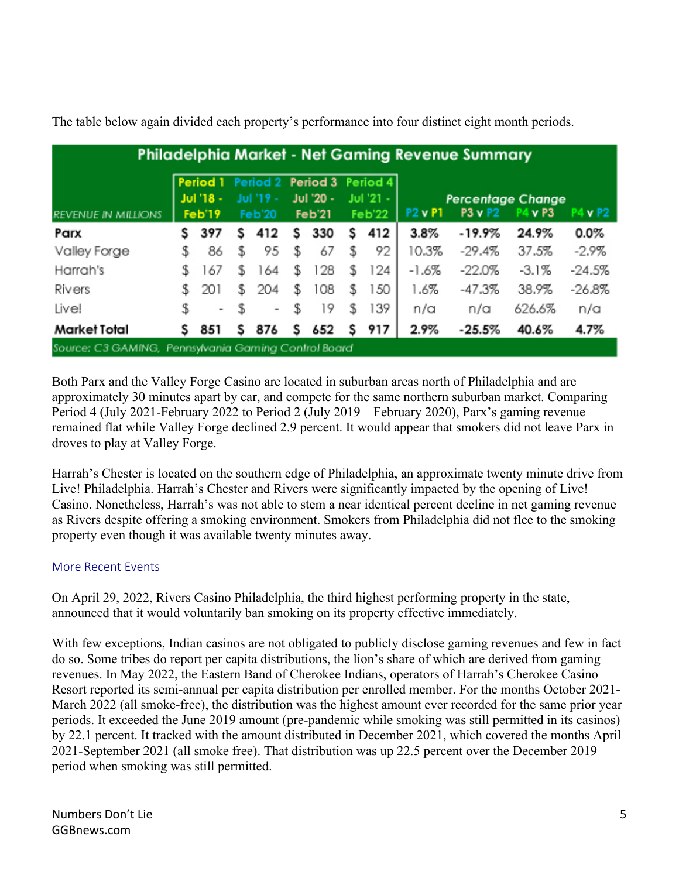| <b>Philadelphia Market - Net Gaming Revenue Summary</b> |                     |                          |                     |     |                     |     |                     |     |                |                                     |                 |          |  |
|---------------------------------------------------------|---------------------|--------------------------|---------------------|-----|---------------------|-----|---------------------|-----|----------------|-------------------------------------|-----------------|----------|--|
|                                                         | Period 1            |                          | Period <sub>2</sub> |     | Period 3            |     | Period 4            |     |                |                                     |                 |          |  |
| <b>REVENUE IN MILLIONS</b>                              | Jul '18 -<br>Feb'19 |                          | Jul '19 -<br>Feb'20 |     | Jul '20 -<br>Feb'21 |     | Jul '21 -<br>Feb'22 |     | <b>P2 v P1</b> | <b>Percentage Change</b><br>P3 v P2 | v <sub>P3</sub> | vP2      |  |
| Parx                                                    | s                   | 397                      | s                   | 412 | s                   | 330 | s                   | 412 | 3.8%           | $-19.9%$                            | 24.9%           | $0.0\%$  |  |
| Valley Forge                                            | \$                  | 86                       | \$                  | 95  | \$                  | 67  | \$                  | 92  | 10.3%          | $-29.4%$                            | 37.5%           | $-2.9\%$ |  |
| Harrah's                                                | \$                  | 167                      | S.                  | 164 | \$                  | 128 | \$                  | 124 | $-1.6%$        | $-22.0%$                            | $-3.1%$         | $-24.5%$ |  |
| Rivers                                                  |                     | 201                      | S.                  | 204 | \$                  | 108 | \$                  | 50  | 1.6%           | $-47.3%$                            | 38.9%           | $-26.8%$ |  |
| Live!                                                   | \$                  | $\overline{\phantom{a}}$ | \$                  | -   | \$                  | 19  | \$                  | 139 | n/a            | n/a                                 | 626.6%          | n/a      |  |
| <b>Market Total</b>                                     | s                   | 851                      | s                   | 876 | s                   | 652 | s                   | 917 | 2.9%           | $-25.5%$                            | 40.6%           | 4.7%     |  |
| Source: C3 GAMING, Pennsylvania Gaming Control Board    |                     |                          |                     |     |                     |     |                     |     |                |                                     |                 |          |  |

The table below again divided each property's performance into four distinct eight month periods.

Both Parx and the Valley Forge Casino are located in suburban areas north of Philadelphia and are approximately 30 minutes apart by car, and compete for the same northern suburban market. Comparing Period 4 (July 2021-February 2022 to Period 2 (July 2019 – February 2020), Parx's gaming revenue remained flat while Valley Forge declined 2.9 percent. It would appear that smokers did not leave Parx in droves to play at Valley Forge.

Harrah's Chester is located on the southern edge of Philadelphia, an approximate twenty minute drive from Live! Philadelphia. Harrah's Chester and Rivers were significantly impacted by the opening of Live! Casino. Nonetheless, Harrah's was not able to stem a near identical percent decline in net gaming revenue as Rivers despite offering a smoking environment. Smokers from Philadelphia did not flee to the smoking property even though it was available twenty minutes away.

# More Recent Events

On April 29, 2022, Rivers Casino Philadelphia, the third highest performing property in the state, announced that it would voluntarily ban smoking on its property effective immediately.

With few exceptions, Indian casinos are not obligated to publicly disclose gaming revenues and few in fact do so. Some tribes do report per capita distributions, the lion's share of which are derived from gaming revenues. In May 2022, the Eastern Band of Cherokee Indians, operators of Harrah's Cherokee Casino Resort reported its semi-annual per capita distribution per enrolled member. For the months October 2021- March 2022 (all smoke-free), the distribution was the highest amount ever recorded for the same prior year periods. It exceeded the June 2019 amount (pre-pandemic while smoking was still permitted in its casinos) by 22.1 percent. It tracked with the amount distributed in December 2021, which covered the months April 2021-September 2021 (all smoke free). That distribution was up 22.5 percent over the December 2019 period when smoking was still permitted.